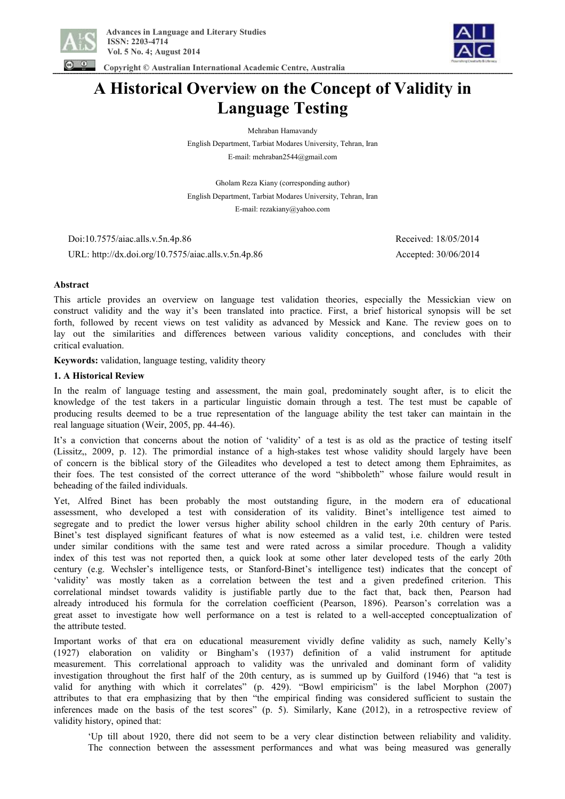

 **Copyright © Australian International Academic Centre, Australia** 



# **A Historical Overview on the Concept of Validity in Language Testing**

Mehraban Hamavandy

English Department, Tarbiat Modares University, Tehran, Iran E-mail: mehraban2544@gmail.com

Gholam Reza Kiany (corresponding author) English Department, Tarbiat Modares University, Tehran, Iran E-mail: rezakiany@yahoo.com

 Doi:10.7575/aiac.alls.v.5n.4p.86 Received: 18/05/2014 URL: http://dx.doi.org/10.7575/aiac.alls.v.5n.4p.86 Accepted: 30/06/2014

## **Abstract**

This article provides an overview on language test validation theories, especially the Messickian view on construct validity and the way it's been translated into practice. First, a brief historical synopsis will be set forth, followed by recent views on test validity as advanced by Messick and Kane. The review goes on to lay out the similarities and differences between various validity conceptions, and concludes with their critical evaluation.

**Keywords:** validation, language testing, validity theory

## **1. A Historical Review**

In the realm of language testing and assessment, the main goal, predominately sought after, is to elicit the knowledge of the test takers in a particular linguistic domain through a test. The test must be capable of producing results deemed to be a true representation of the language ability the test taker can maintain in the real language situation (Weir, 2005, pp. 44-46).

It's a conviction that concerns about the notion of 'validity' of a test is as old as the practice of testing itself (Lissitz,, 2009, p. 12). The primordial instance of a high-stakes test whose validity should largely have been of concern is the biblical story of the Gileadites who developed a test to detect among them Ephraimites, as their foes. The test consisted of the correct utterance of the word "shibboleth" whose failure would result in beheading of the failed individuals.

Yet, Alfred Binet has been probably the most outstanding figure, in the modern era of educational assessment, who developed a test with consideration of its validity. Binet's intelligence test aimed to segregate and to predict the lower versus higher ability school children in the early 20th century of Paris. Binet's test displayed significant features of what is now esteemed as a valid test, i.e. children were tested under similar conditions with the same test and were rated across a similar procedure. Though a validity index of this test was not reported then, a quick look at some other later developed tests of the early 20th century (e.g. Wechsler's intelligence tests, or Stanford-Binet's intelligence test) indicates that the concept of 'validity' was mostly taken as a correlation between the test and a given predefined criterion. This correlational mindset towards validity is justifiable partly due to the fact that, back then, Pearson had already introduced his formula for the correlation coefficient (Pearson, 1896). Pearson's correlation was a great asset to investigate how well performance on a test is related to a well-accepted conceptualization of the attribute tested.

Important works of that era on educational measurement vividly define validity as such, namely Kelly's (1927) elaboration on validity or Bingham's (1937) definition of a valid instrument for aptitude measurement. This correlational approach to validity was the unrivaled and dominant form of validity investigation throughout the first half of the 20th century, as is summed up by Guilford (1946) that "a test is valid for anything with which it correlates" (p. 429). "Bowl empiricism" is the label Morphon (2007) attributes to that era emphasizing that by then "the empirical finding was considered sufficient to sustain the inferences made on the basis of the test scores" (p. 5). Similarly, Kane (2012), in a retrospective review of validity history, opined that:

'Up till about 1920, there did not seem to be a very clear distinction between reliability and validity. The connection between the assessment performances and what was being measured was generally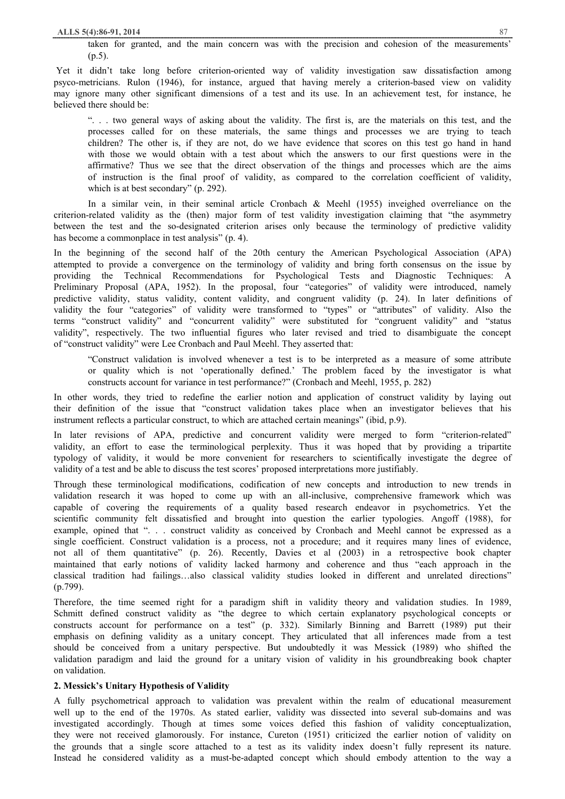taken for granted, and the main concern was with the precision and cohesion of the measurements'  $(p.5)$ .

Yet it didn't take long before criterion-oriented way of validity investigation saw dissatisfaction among psyco-metricians. Rulon (1946), for instance, argued that having merely a criterion-based view on validity may ignore many other significant dimensions of a test and its use. In an achievement test, for instance, he believed there should be:

". . . two general ways of asking about the validity. The first is, are the materials on this test, and the processes called for on these materials, the same things and processes we are trying to teach children? The other is, if they are not, do we have evidence that scores on this test go hand in hand with those we would obtain with a test about which the answers to our first questions were in the affirmative? Thus we see that the direct observation of the things and processes which are the aims of instruction is the final proof of validity, as compared to the correlation coefficient of validity, which is at best secondary" (p. 292).

In a similar vein, in their seminal article Cronbach & Meehl (1955) inveighed overreliance on the criterion-related validity as the (then) major form of test validity investigation claiming that "the asymmetry between the test and the so-designated criterion arises only because the terminology of predictive validity has become a commonplace in test analysis" (p. 4).

In the beginning of the second half of the 20th century the American Psychological Association (APA) attempted to provide a convergence on the terminology of validity and bring forth consensus on the issue by providing the Technical Recommendations for Psychological Tests and Diagnostic Techniques: A Preliminary Proposal (APA, 1952). In the proposal, four "categories" of validity were introduced, namely predictive validity, status validity, content validity, and congruent validity (p. 24). In later definitions of validity the four "categories" of validity were transformed to "types" or "attributes" of validity. Also the terms "construct validity" and "concurrent validity" were substituted for "congruent validity" and "status validity", respectively. The two influential figures who later revised and tried to disambiguate the concept of "construct validity" were Lee Cronbach and Paul Meehl. They asserted that:

"Construct validation is involved whenever a test is to be interpreted as a measure of some attribute or quality which is not 'operationally defined.' The problem faced by the investigator is what constructs account for variance in test performance?" (Cronbach and Meehl, 1955, p. 282)

In other words, they tried to redefine the earlier notion and application of construct validity by laying out their definition of the issue that "construct validation takes place when an investigator believes that his instrument reflects a particular construct, to which are attached certain meanings" (ibid, p.9).

In later revisions of APA, predictive and concurrent validity were merged to form "criterion-related" validity, an effort to ease the terminological perplexity. Thus it was hoped that by providing a tripartite typology of validity, it would be more convenient for researchers to scientifically investigate the degree of validity of a test and be able to discuss the test scores' proposed interpretations more justifiably.

Through these terminological modifications, codification of new concepts and introduction to new trends in validation research it was hoped to come up with an all-inclusive, comprehensive framework which was capable of covering the requirements of a quality based research endeavor in psychometrics. Yet the scientific community felt dissatisfied and brought into question the earlier typologies. Angoff (1988), for example, opined that "... construct validity as conceived by Cronbach and Meehl cannot be expressed as a single coefficient. Construct validation is a process, not a procedure; and it requires many lines of evidence, not all of them quantitative" (p. 26). Recently, Davies et al (2003) in a retrospective book chapter maintained that early notions of validity lacked harmony and coherence and thus "each approach in the classical tradition had failings…also classical validity studies looked in different and unrelated directions" (p.799).

Therefore, the time seemed right for a paradigm shift in validity theory and validation studies. In 1989, Schmitt defined construct validity as "the degree to which certain explanatory psychological concepts or constructs account for performance on a test" (p. 332). Similarly Binning and Barrett (1989) put their emphasis on defining validity as a unitary concept. They articulated that all inferences made from a test should be conceived from a unitary perspective. But undoubtedly it was Messick (1989) who shifted the validation paradigm and laid the ground for a unitary vision of validity in his groundbreaking book chapter on validation.

## **2. Messick's Unitary Hypothesis of Validity**

A fully psychometrical approach to validation was prevalent within the realm of educational measurement well up to the end of the 1970s. As stated earlier, validity was dissected into several sub-domains and was investigated accordingly. Though at times some voices defied this fashion of validity conceptualization, they were not received glamorously. For instance, Cureton (1951) criticized the earlier notion of validity on the grounds that a single score attached to a test as its validity index doesn't fully represent its nature. Instead he considered validity as a must-be-adapted concept which should embody attention to the way a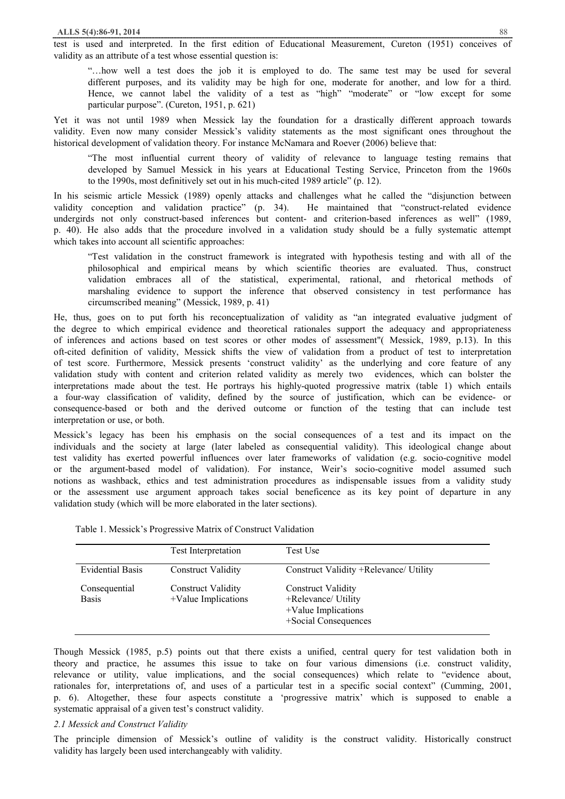test is used and interpreted. In the first edition of Educational Measurement, Cureton (1951) conceives of validity as an attribute of a test whose essential question is:

"…how well a test does the job it is employed to do. The same test may be used for several different purposes, and its validity may be high for one, moderate for another, and low for a third. Hence, we cannot label the validity of a test as "high" "moderate" or "low except for some particular purpose". (Cureton, 1951, p. 621)

Yet it was not until 1989 when Messick lay the foundation for a drastically different approach towards validity. Even now many consider Messick's validity statements as the most significant ones throughout the historical development of validation theory. For instance McNamara and Roever (2006) believe that:

"The most influential current theory of validity of relevance to language testing remains that developed by Samuel Messick in his years at Educational Testing Service, Princeton from the 1960s to the 1990s, most definitively set out in his much-cited 1989 article" (p. 12).

In his seismic article Messick (1989) openly attacks and challenges what he called the "disjunction between validity conception and validation practice" (p. 34). He maintained that "construct-related evidence undergirds not only construct-based inferences but content- and criterion-based inferences as well" (1989, p. 40). He also adds that the procedure involved in a validation study should be a fully systematic attempt which takes into account all scientific approaches:

"Test validation in the construct framework is integrated with hypothesis testing and with all of the philosophical and empirical means by which scientific theories are evaluated. Thus, construct validation embraces all of the statistical, experimental, rational, and rhetorical methods of marshaling evidence to support the inference that observed consistency in test performance has circumscribed meaning" (Messick, 1989, p. 41)

He, thus, goes on to put forth his reconceptualization of validity as "an integrated evaluative judgment of the degree to which empirical evidence and theoretical rationales support the adequacy and appropriateness of inferences and actions based on test scores or other modes of assessment"( Messick, 1989, p.13). In this oft-cited definition of validity, Messick shifts the view of validation from a product of test to interpretation of test score. Furthermore, Messick presents 'construct validity' as the underlying and core feature of any validation study with content and criterion related validity as merely two evidences, which can bolster the interpretations made about the test. He portrays his highly-quoted progressive matrix (table 1) which entails a four-way classification of validity, defined by the source of justification, which can be evidence- or consequence-based or both and the derived outcome or function of the testing that can include test interpretation or use, or both.

Messick's legacy has been his emphasis on the social consequences of a test and its impact on the individuals and the society at large (later labeled as consequential validity). This ideological change about test validity has exerted powerful influences over later frameworks of validation (e.g. socio-cognitive model or the argument-based model of validation). For instance, Weir's socio-cognitive model assumed such notions as washback, ethics and test administration procedures as indispensable issues from a validity study or the assessment use argument approach takes social beneficence as its key point of departure in any validation study (which will be more elaborated in the later sections).

| Table 1. Messick's Progressive Matrix of Construct Validation |  |  |  |  |
|---------------------------------------------------------------|--|--|--|--|
|---------------------------------------------------------------|--|--|--|--|

|                               | <b>Test Interpretation</b>                       | Test Use                                                                                        |
|-------------------------------|--------------------------------------------------|-------------------------------------------------------------------------------------------------|
| <b>Evidential Basis</b>       | <b>Construct Validity</b>                        | Construct Validity +Relevance/ Utility                                                          |
| Consequential<br><b>Basis</b> | <b>Construct Validity</b><br>+Value Implications | <b>Construct Validity</b><br>+Relevance/ Utility<br>+Value Implications<br>+Social Consequences |

Though Messick (1985, p.5) points out that there exists a unified, central query for test validation both in theory and practice, he assumes this issue to take on four various dimensions (i.e. construct validity, relevance or utility, value implications, and the social consequences) which relate to "evidence about, rationales for, interpretations of, and uses of a particular test in a specific social context" (Cumming, 2001, p. 6). Altogether, these four aspects constitute a 'progressive matrix' which is supposed to enable a systematic appraisal of a given test's construct validity.

## *2.1 Messick and Construct Validity*

The principle dimension of Messick's outline of validity is the construct validity. Historically construct validity has largely been used interchangeably with validity.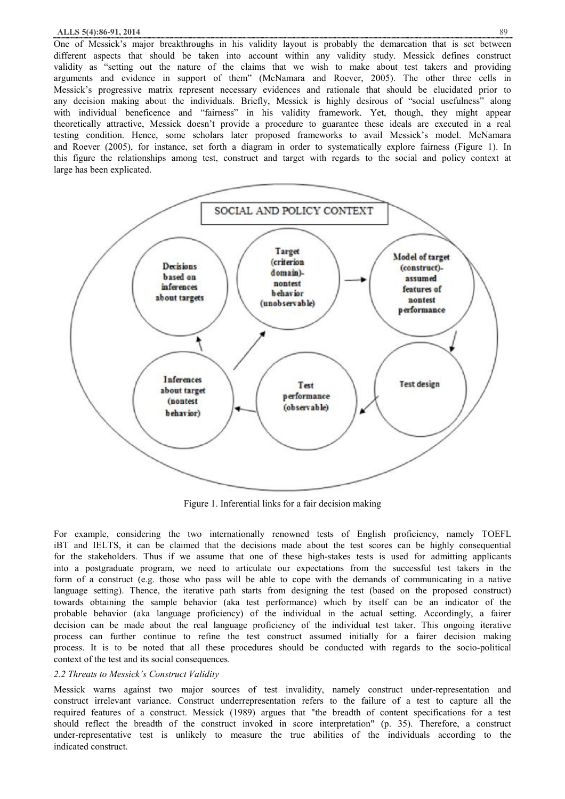#### **ALLS 5(4):86-91, 2014** 89

One of Messick's major breakthroughs in his validity layout is probably the demarcation that is set between different aspects that should be taken into account within any validity study. Messick defines construct validity as "setting out the nature of the claims that we wish to make about test takers and providing arguments and evidence in support of them" (McNamara and Roever, 2005). The other three cells in Messick's progressive matrix represent necessary evidences and rationale that should be elucidated prior to any decision making about the individuals. Briefly, Messick is highly desirous of "social usefulness" along with individual beneficence and "fairness" in his validity framework. Yet, though, they might appear theoretically attractive, Messick doesn't provide a procedure to guarantee these ideals are executed in a real testing condition. Hence, some scholars later proposed frameworks to avail Messick's model. McNamara and Roever (2005), for instance, set forth a diagram in order to systematically explore fairness (Figure 1). In this figure the relationships among test, construct and target with regards to the social and policy context at large has been explicated.



Figure 1. Inferential links for a fair decision making

For example, considering the two internationally renowned tests of English proficiency, namely TOEFL iBT and IELTS, it can be claimed that the decisions made about the test scores can be highly consequential for the stakeholders. Thus if we assume that one of these high-stakes tests is used for admitting applicants into a postgraduate program, we need to articulate our expectations from the successful test takers in the form of a construct (e.g. those who pass will be able to cope with the demands of communicating in a native language setting). Thence, the iterative path starts from designing the test (based on the proposed construct) towards obtaining the sample behavior (aka test performance) which by itself can be an indicator of the probable behavior (aka language proficiency) of the individual in the actual setting. Accordingly, a fairer decision can be made about the real language proficiency of the individual test taker. This ongoing iterative process can further continue to refine the test construct assumed initially for a fairer decision making process. It is to be noted that all these procedures should be conducted with regards to the socio-political context of the test and its social consequences.

### *2.2 Threats to Messick's Construct Validity*

Messick warns against two major sources of test invalidity, namely construct under-representation and construct irrelevant variance. Construct underrepresentation refers to the failure of a test to capture all the required features of a construct. Messick (1989) argues that "the breadth of content specifications for a test should reflect the breadth of the construct invoked in score interpretation" (p. 35). Therefore, a construct under-representative test is unlikely to measure the true abilities of the individuals according to the indicated construct.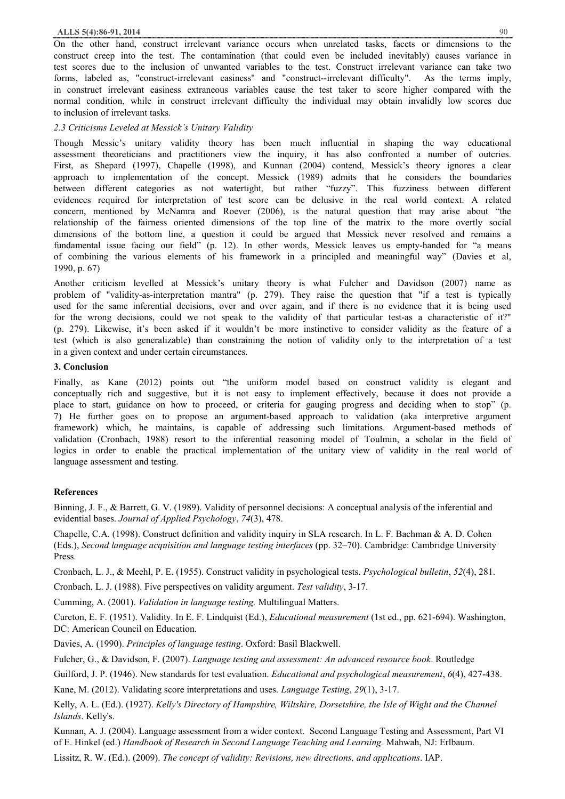On the other hand, construct irrelevant variance occurs when unrelated tasks, facets or dimensions to the construct creep into the test. The contamination (that could even be included inevitably) causes variance in test scores due to the inclusion of unwanted variables to the test. Construct irrelevant variance can take two forms, labeled as, "construct-irrelevant easiness" and "construct--irrelevant difficulty". As the terms imply, in construct irrelevant easiness extraneous variables cause the test taker to score higher compared with the normal condition, while in construct irrelevant difficulty the individual may obtain invalidly low scores due to inclusion of irrelevant tasks.

# *2.3 Criticisms Leveled at Messick's Unitary Validity*

Though Messic's unitary validity theory has been much influential in shaping the way educational assessment theoreticians and practitioners view the inquiry, it has also confronted a number of outcries. First, as Shepard (1997), Chapelle (1998), and Kunnan (2004) contend, Messick's theory ignores a clear approach to implementation of the concept. Messick (1989) admits that he considers the boundaries between different categories as not watertight, but rather "fuzzy". This fuzziness between different evidences required for interpretation of test score can be delusive in the real world context. A related concern, mentioned by McNamra and Roever (2006), is the natural question that may arise about "the relationship of the fairness oriented dimensions of the top line of the matrix to the more overtly social dimensions of the bottom line, a question it could be argued that Messick never resolved and remains a fundamental issue facing our field" (p. 12). In other words, Messick leaves us empty-handed for "a means of combining the various elements of his framework in a principled and meaningful way" (Davies et al, 1990, p. 67)

Another criticism levelled at Messick's unitary theory is what Fulcher and Davidson (2007) name as problem of "validity-as-interpretation mantra" (p. 279). They raise the question that "if a test is typically used for the same inferential decisions, over and over again, and if there is no evidence that it is being used for the wrong decisions, could we not speak to the validity of that particular test-as a characteristic of it?" (p. 279). Likewise, it's been asked if it wouldn't be more instinctive to consider validity as the feature of a test (which is also generalizable) than constraining the notion of validity only to the interpretation of a test in a given context and under certain circumstances.

## **3. Conclusion**

Finally, as Kane (2012) points out "the uniform model based on construct validity is elegant and conceptually rich and suggestive, but it is not easy to implement effectively, because it does not provide a place to start, guidance on how to proceed, or criteria for gauging progress and deciding when to stop" (p. 7) He further goes on to propose an argument-based approach to validation (aka interpretive argument framework) which, he maintains, is capable of addressing such limitations. Argument-based methods of validation (Cronbach, 1988) resort to the inferential reasoning model of Toulmin, a scholar in the field of logics in order to enable the practical implementation of the unitary view of validity in the real world of language assessment and testing.

# **References**

Binning, J. F., & Barrett, G. V. (1989). Validity of personnel decisions: A conceptual analysis of the inferential and evidential bases. *Journal of Applied Psychology*, *74*(3), 478.

Chapelle, C.A. (1998). Construct definition and validity inquiry in SLA research. In L. F. Bachman & A. D. Cohen (Eds.), *Second language acquisition and language testing interfaces* (pp. 32–70). Cambridge: Cambridge University Press.

Cronbach, L. J., & Meehl, P. E. (1955). Construct validity in psychological tests. *Psychological bulletin*, *52*(4), 281.

Cronbach, L. J. (1988). Five perspectives on validity argument. *Test validity*, 3-17.

Cumming, A. (2001). *Validation in language testing.* Multilingual Matters.

Cureton, E. F. (1951). Validity. In E. F. Lindquist (Ed.), *Educational measurement* (1st ed., pp. 621-694). Washington, DC: American Council on Education.

Davies, A. (1990). *Principles of language testing*. Oxford: Basil Blackwell.

Fulcher, G., & Davidson, F. (2007). *Language testing and assessment: An advanced resource book*. Routledge

Guilford, J. P. (1946). New standards for test evaluation. *Educational and psychological measurement*, *6*(4), 427-438.

Kane, M. (2012). Validating score interpretations and uses. *Language Testing*, *29*(1), 3-17.

Kelly, A. L. (Ed.). (1927). *Kelly's Directory of Hampshire, Wiltshire, Dorsetshire, the Isle of Wight and the Channel Islands*. Kelly's.

Kunnan, A. J. (2004). Language assessment from a wider context. Second Language Testing and Assessment, Part VI of E. Hinkel (ed.) *Handbook of Research in Second Language Teaching and Learning.* Mahwah, NJ: Erlbaum.

Lissitz, R. W. (Ed.). (2009). *The concept of validity: Revisions, new directions, and applications*. IAP.